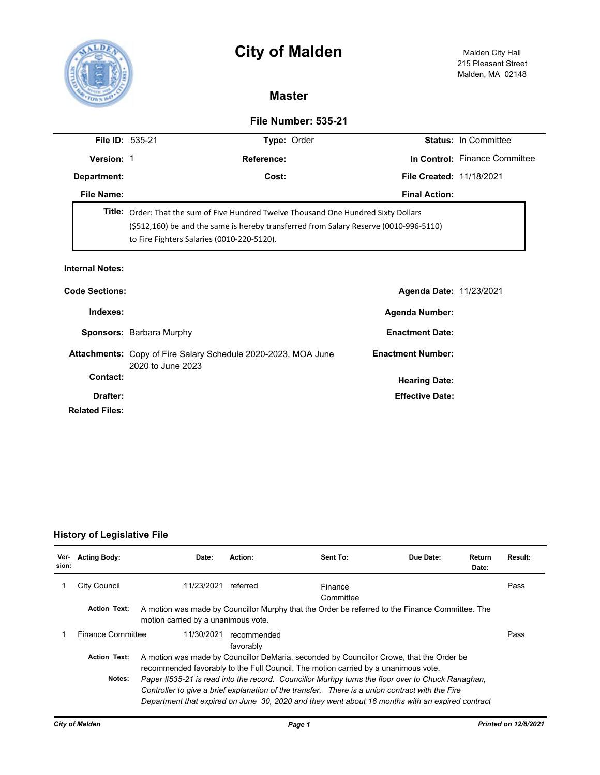



## **Master**

## **File Number: 535-21**

| <b>Version: 1</b><br>Reference:<br><b>File Created: 11/18/2021</b><br>Cost:<br>Department:                                                                                                                                         |                               |  |  |  |  |  |
|------------------------------------------------------------------------------------------------------------------------------------------------------------------------------------------------------------------------------------|-------------------------------|--|--|--|--|--|
|                                                                                                                                                                                                                                    | In Control: Finance Committee |  |  |  |  |  |
|                                                                                                                                                                                                                                    |                               |  |  |  |  |  |
| File Name:<br><b>Final Action:</b>                                                                                                                                                                                                 |                               |  |  |  |  |  |
| <b>Title:</b> Order: That the sum of Five Hundred Twelve Thousand One Hundred Sixty Dollars<br>(\$512,160) be and the same is hereby transferred from Salary Reserve (0010-996-5110)<br>to Fire Fighters Salaries (0010-220-5120). |                               |  |  |  |  |  |

| <b>Code Sections:</b> |                                                                                    | Agenda Date: 11/23/2021  |  |
|-----------------------|------------------------------------------------------------------------------------|--------------------------|--|
| Indexes:              |                                                                                    | <b>Agenda Number:</b>    |  |
|                       | Sponsors: Barbara Murphy                                                           | <b>Enactment Date:</b>   |  |
|                       | Attachments: Copy of Fire Salary Schedule 2020-2023, MOA June<br>2020 to June 2023 | <b>Enactment Number:</b> |  |
| Contact:              |                                                                                    | <b>Hearing Date:</b>     |  |
| Drafter:              |                                                                                    | <b>Effective Date:</b>   |  |
| <b>Related Files:</b> |                                                                                    |                          |  |

## **History of Legislative File**

| Ver-<br>sion: | <b>Acting Body:</b>                                                                                                                                                                                                                                                                                              | Date:                               | Action:                                                                                         | Sent To:             | Due Date: | Return<br>Date: | Result: |
|---------------|------------------------------------------------------------------------------------------------------------------------------------------------------------------------------------------------------------------------------------------------------------------------------------------------------------------|-------------------------------------|-------------------------------------------------------------------------------------------------|----------------------|-----------|-----------------|---------|
|               | City Council                                                                                                                                                                                                                                                                                                     | 11/23/2021                          | referred                                                                                        | Finance<br>Committee |           |                 | Pass    |
|               | <b>Action Text:</b>                                                                                                                                                                                                                                                                                              | motion carried by a unanimous vote. | A motion was made by Councillor Murphy that the Order be referred to the Finance Committee. The |                      |           |                 |         |
|               | <b>Finance Committee</b>                                                                                                                                                                                                                                                                                         | 11/30/2021                          | recommended<br>favorably                                                                        |                      |           |                 | Pass    |
|               | <b>Action Text:</b><br>A motion was made by Councillor DeMaria, seconded by Councillor Crowe, that the Order be<br>recommended favorably to the Full Council. The motion carried by a unanimous vote.                                                                                                            |                                     |                                                                                                 |                      |           |                 |         |
|               | Paper #535-21 is read into the record. Councillor Murhpy turns the floor over to Chuck Ranaghan,<br>Notes:<br>Controller to give a brief explanation of the transfer. There is a union contract with the Fire<br>Department that expired on June 30, 2020 and they went about 16 months with an expired contract |                                     |                                                                                                 |                      |           |                 |         |